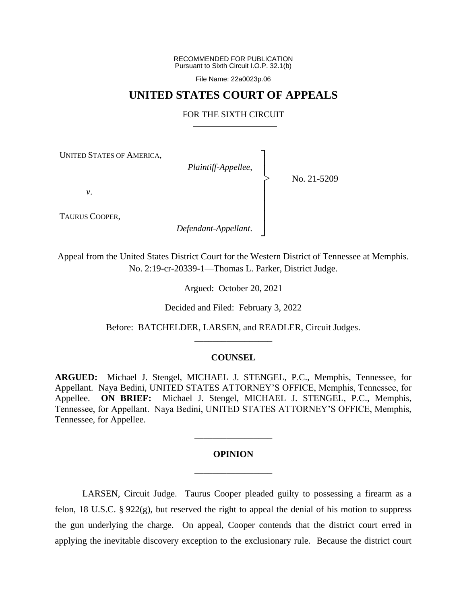RECOMMENDED FOR PUBLICATION Pursuant to Sixth Circuit I.O.P. 32.1(b)

File Name: 22a0023p.06

## **UNITED STATES COURT OF APPEALS**

## FOR THE SIXTH CIRCUIT

┐ │ │ │ │ │ │ │ ┘

|<br>|<br>|

UNITED STATES OF AMERICA,

*Plaintiff-Appellee*,

No. 21-5209

*v*.

TAURUS COOPER,

*Defendant-Appellant*.

Appeal from the United States District Court for the Western District of Tennessee at Memphis. No. 2:19-cr-20339-1—Thomas L. Parker, District Judge.

Argued: October 20, 2021

Decided and Filed: February 3, 2022

Before: BATCHELDER, LARSEN, and READLER, Circuit Judges. \_\_\_\_\_\_\_\_\_\_\_\_\_\_\_\_\_

## **COUNSEL**

**ARGUED:** Michael J. Stengel, MICHAEL J. STENGEL, P.C., Memphis, Tennessee, for Appellant. Naya Bedini, UNITED STATES ATTORNEY'S OFFICE, Memphis, Tennessee, for Appellee. **ON BRIEF:** Michael J. Stengel, MICHAEL J. STENGEL, P.C., Memphis, Tennessee, for Appellant. Naya Bedini, UNITED STATES ATTORNEY'S OFFICE, Memphis, Tennessee, for Appellee.

# **OPINION** \_\_\_\_\_\_\_\_\_\_\_\_\_\_\_\_\_

\_\_\_\_\_\_\_\_\_\_\_\_\_\_\_\_\_

LARSEN, Circuit Judge. Taurus Cooper pleaded guilty to possessing a firearm as a felon, 18 U.S.C. § 922(g), but reserved the right to appeal the denial of his motion to suppress the gun underlying the charge. On appeal, Cooper contends that the district court erred in applying the inevitable discovery exception to the exclusionary rule. Because the district court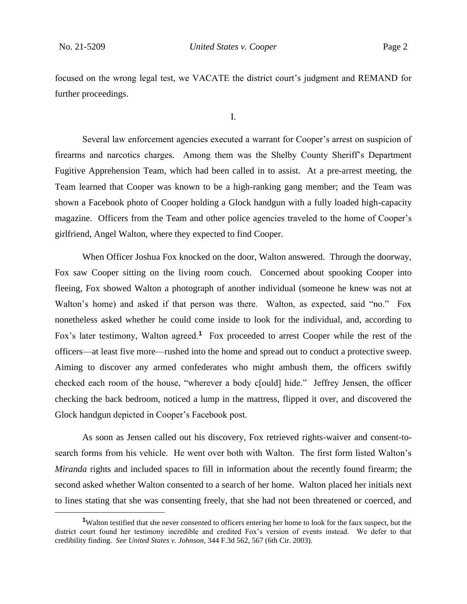focused on the wrong legal test, we VACATE the district court's judgment and REMAND for further proceedings.

I.

Several law enforcement agencies executed a warrant for Cooper's arrest on suspicion of firearms and narcotics charges. Among them was the Shelby County Sheriff's Department Fugitive Apprehension Team, which had been called in to assist. At a pre-arrest meeting, the Team learned that Cooper was known to be a high-ranking gang member; and the Team was shown a Facebook photo of Cooper holding a Glock handgun with a fully loaded high-capacity magazine. Officers from the Team and other police agencies traveled to the home of Cooper's girlfriend, Angel Walton, where they expected to find Cooper.

When Officer Joshua Fox knocked on the door, Walton answered. Through the doorway, Fox saw Cooper sitting on the living room couch. Concerned about spooking Cooper into fleeing, Fox showed Walton a photograph of another individual (someone he knew was not at Walton's home) and asked if that person was there. Walton, as expected, said "no." Fox nonetheless asked whether he could come inside to look for the individual, and, according to Fox's later testimony, Walton agreed.<sup>1</sup> Fox proceeded to arrest Cooper while the rest of the officers—at least five more—rushed into the home and spread out to conduct a protective sweep. Aiming to discover any armed confederates who might ambush them, the officers swiftly checked each room of the house, "wherever a body c[ould] hide." Jeffrey Jensen, the officer checking the back bedroom, noticed a lump in the mattress, flipped it over, and discovered the Glock handgun depicted in Cooper's Facebook post.

As soon as Jensen called out his discovery, Fox retrieved rights-waiver and consent-tosearch forms from his vehicle. He went over both with Walton. The first form listed Walton's *Miranda* rights and included spaces to fill in information about the recently found firearm; the second asked whether Walton consented to a search of her home. Walton placed her initials next to lines stating that she was consenting freely, that she had not been threatened or coerced, and

**<sup>1</sup>**Walton testified that she never consented to officers entering her home to look for the faux suspect, but the district court found her testimony incredible and credited Fox's version of events instead. We defer to that credibility finding. *See United States v. Johnson*, 344 F.3d 562, 567 (6th Cir. 2003).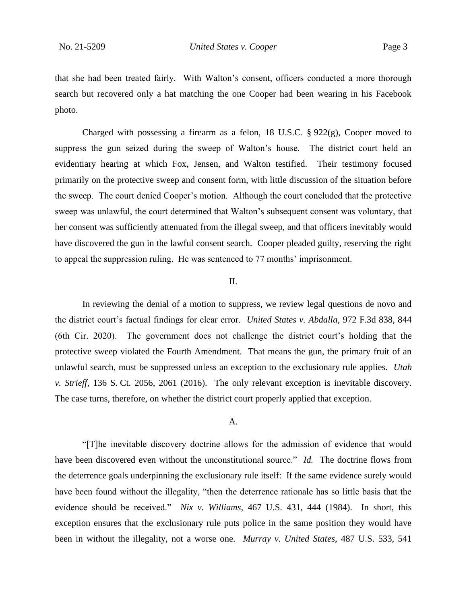that she had been treated fairly. With Walton's consent, officers conducted a more thorough search but recovered only a hat matching the one Cooper had been wearing in his Facebook photo.

Charged with possessing a firearm as a felon, 18 U.S.C. § 922(g), Cooper moved to suppress the gun seized during the sweep of Walton's house. The district court held an evidentiary hearing at which Fox, Jensen, and Walton testified. Their testimony focused primarily on the protective sweep and consent form, with little discussion of the situation before the sweep. The court denied Cooper's motion. Although the court concluded that the protective sweep was unlawful, the court determined that Walton's subsequent consent was voluntary, that her consent was sufficiently attenuated from the illegal sweep, and that officers inevitably would have discovered the gun in the lawful consent search. Cooper pleaded guilty, reserving the right to appeal the suppression ruling. He was sentenced to 77 months' imprisonment.

## II.

In reviewing the denial of a motion to suppress, we review legal questions de novo and the district court's factual findings for clear error. *United States v. Abdalla*, 972 F.3d 838, 844 (6th Cir. 2020). The government does not challenge the district court's holding that the protective sweep violated the Fourth Amendment. That means the gun, the primary fruit of an unlawful search, must be suppressed unless an exception to the exclusionary rule applies. *Utah v. Strieff*, 136 S. Ct. 2056, 2061 (2016). The only relevant exception is inevitable discovery. The case turns, therefore, on whether the district court properly applied that exception.

### A.

"[T]he inevitable discovery doctrine allows for the admission of evidence that would have been discovered even without the unconstitutional source." *Id.* The doctrine flows from the deterrence goals underpinning the exclusionary rule itself: If the same evidence surely would have been found without the illegality, "then the deterrence rationale has so little basis that the evidence should be received." *Nix v. Williams*, 467 U.S. 431, 444 (1984). In short, this exception ensures that the exclusionary rule puts police in the same position they would have been in without the illegality, not a worse one. *Murray v. United States*, 487 U.S. 533, 541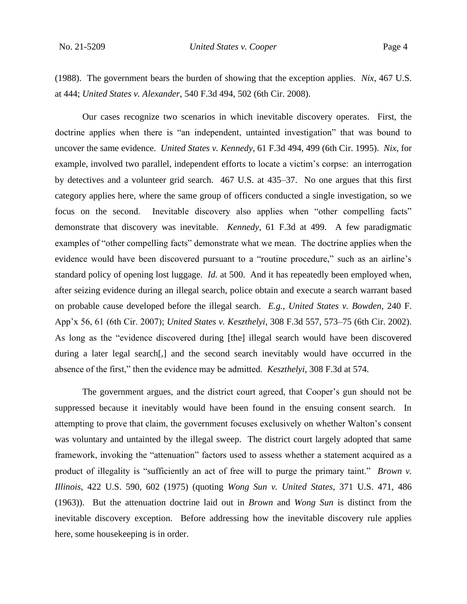(1988). The government bears the burden of showing that the exception applies. *Nix*, 467 U.S. at 444; *United States v. Alexander*, 540 F.3d 494, 502 (6th Cir. 2008).

Our cases recognize two scenarios in which inevitable discovery operates. First, the doctrine applies when there is "an independent, untainted investigation" that was bound to uncover the same evidence. *United States v. Kennedy*, 61 F.3d 494, 499 (6th Cir. 1995). *Nix*, for example, involved two parallel, independent efforts to locate a victim's corpse: an interrogation by detectives and a volunteer grid search. 467 U.S. at 435–37. No one argues that this first category applies here, where the same group of officers conducted a single investigation, so we focus on the second. Inevitable discovery also applies when "other compelling facts" demonstrate that discovery was inevitable. *Kennedy*, 61 F.3d at 499. A few paradigmatic examples of "other compelling facts" demonstrate what we mean. The doctrine applies when the evidence would have been discovered pursuant to a "routine procedure," such as an airline's standard policy of opening lost luggage. *Id.* at 500. And it has repeatedly been employed when, after seizing evidence during an illegal search, police obtain and execute a search warrant based on probable cause developed before the illegal search. *E.g.*, *United States v. Bowden*, 240 F. App'x 56, 61 (6th Cir. 2007); *United States v. Keszthelyi*, 308 F.3d 557, 573–75 (6th Cir. 2002). As long as the "evidence discovered during [the] illegal search would have been discovered during a later legal search[,] and the second search inevitably would have occurred in the absence of the first," then the evidence may be admitted. *Keszthelyi*, 308 F.3d at 574.

The government argues, and the district court agreed, that Cooper's gun should not be suppressed because it inevitably would have been found in the ensuing consent search. In attempting to prove that claim, the government focuses exclusively on whether Walton's consent was voluntary and untainted by the illegal sweep. The district court largely adopted that same framework, invoking the "attenuation" factors used to assess whether a statement acquired as a product of illegality is "sufficiently an act of free will to purge the primary taint." *Brown v. Illinois*, 422 U.S. 590, 602 (1975) (quoting *Wong Sun v. United States*, 371 U.S. 471, 486 (1963)). But the attenuation doctrine laid out in *Brown* and *Wong Sun* is distinct from the inevitable discovery exception. Before addressing how the inevitable discovery rule applies here, some housekeeping is in order.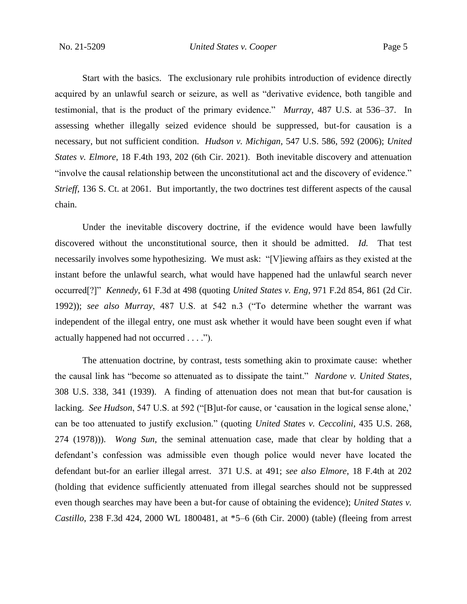Start with the basics. The exclusionary rule prohibits introduction of evidence directly acquired by an unlawful search or seizure, as well as "derivative evidence, both tangible and testimonial, that is the product of the primary evidence." *Murray*, 487 U.S. at 536–37. In assessing whether illegally seized evidence should be suppressed, but-for causation is a necessary, but not sufficient condition. *Hudson v. Michigan*, 547 U.S. 586, 592 (2006); *United States v. Elmore*, 18 F.4th 193, 202 (6th Cir. 2021). Both inevitable discovery and attenuation "involve the causal relationship between the unconstitutional act and the discovery of evidence." *Strieff*, 136 S. Ct. at 2061. But importantly, the two doctrines test different aspects of the causal chain.

Under the inevitable discovery doctrine, if the evidence would have been lawfully discovered without the unconstitutional source, then it should be admitted. *Id.* That test necessarily involves some hypothesizing. We must ask: "[V]iewing affairs as they existed at the instant before the unlawful search, what would have happened had the unlawful search never occurred[?]" *Kennedy*, 61 F.3d at 498 (quoting *United States v. Eng*, 971 F.2d 854, 861 (2d Cir. 1992)); *see also Murray*, 487 U.S. at 542 n.3 ("To determine whether the warrant was independent of the illegal entry, one must ask whether it would have been sought even if what actually happened had not occurred . . . .").

The attenuation doctrine, by contrast, tests something akin to proximate cause: whether the causal link has "become so attenuated as to dissipate the taint." *Nardone v. United States*, 308 U.S. 338, 341 (1939). A finding of attenuation does not mean that but-for causation is lacking. *See Hudson*, 547 U.S. at 592 ("[B]ut-for cause, or 'causation in the logical sense alone,' can be too attenuated to justify exclusion." (quoting *United States v. Ceccolini*, 435 U.S. 268, 274 (1978))). *Wong Sun*, the seminal attenuation case, made that clear by holding that a defendant's confession was admissible even though police would never have located the defendant but-for an earlier illegal arrest. 371 U.S. at 491; *see also Elmore*, 18 F.4th at 202 (holding that evidence sufficiently attenuated from illegal searches should not be suppressed even though searches may have been a but-for cause of obtaining the evidence); *United States v. Castillo*, 238 F.3d 424, 2000 WL 1800481, at \*5–6 (6th Cir. 2000) (table) (fleeing from arrest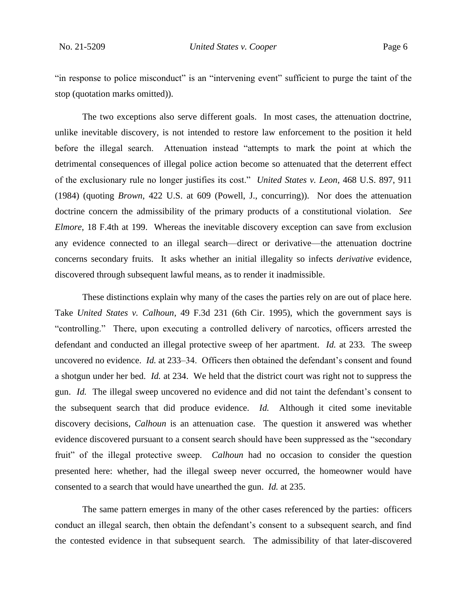"in response to police misconduct" is an "intervening event" sufficient to purge the taint of the stop (quotation marks omitted)).

The two exceptions also serve different goals. In most cases, the attenuation doctrine, unlike inevitable discovery, is not intended to restore law enforcement to the position it held before the illegal search. Attenuation instead "attempts to mark the point at which the detrimental consequences of illegal police action become so attenuated that the deterrent effect of the exclusionary rule no longer justifies its cost." *United States v. Leon*, 468 U.S. 897, 911 (1984) (quoting *Brown*, 422 U.S. at 609 (Powell, J., concurring)). Nor does the attenuation doctrine concern the admissibility of the primary products of a constitutional violation. *See Elmore*, 18 F.4th at 199. Whereas the inevitable discovery exception can save from exclusion any evidence connected to an illegal search—direct or derivative—the attenuation doctrine concerns secondary fruits. It asks whether an initial illegality so infects *derivative* evidence, discovered through subsequent lawful means, as to render it inadmissible.

These distinctions explain why many of the cases the parties rely on are out of place here. Take *United States v. Calhoun*, 49 F.3d 231 (6th Cir. 1995), which the government says is "controlling." There, upon executing a controlled delivery of narcotics, officers arrested the defendant and conducted an illegal protective sweep of her apartment. *Id.* at 233. The sweep uncovered no evidence. *Id.* at 233–34. Officers then obtained the defendant's consent and found a shotgun under her bed. *Id.* at 234. We held that the district court was right not to suppress the gun. *Id.* The illegal sweep uncovered no evidence and did not taint the defendant's consent to the subsequent search that did produce evidence. *Id.* Although it cited some inevitable discovery decisions, *Calhoun* is an attenuation case. The question it answered was whether evidence discovered pursuant to a consent search should have been suppressed as the "secondary fruit" of the illegal protective sweep. *Calhoun* had no occasion to consider the question presented here: whether, had the illegal sweep never occurred, the homeowner would have consented to a search that would have unearthed the gun. *Id.* at 235.

The same pattern emerges in many of the other cases referenced by the parties: officers conduct an illegal search, then obtain the defendant's consent to a subsequent search, and find the contested evidence in that subsequent search. The admissibility of that later-discovered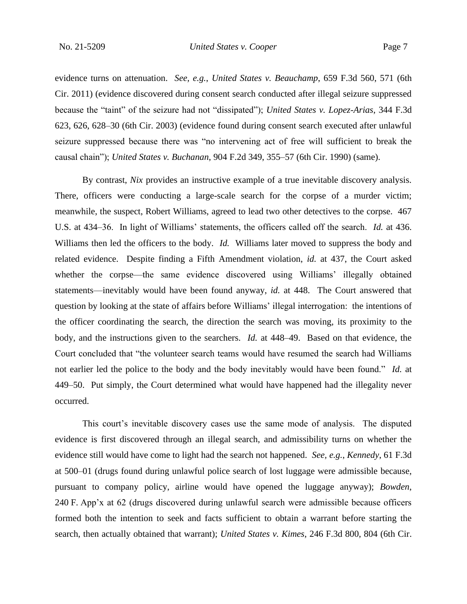evidence turns on attenuation. *See, e.g.*, *United States v. Beauchamp*, 659 F.3d 560, 571 (6th Cir. 2011) (evidence discovered during consent search conducted after illegal seizure suppressed because the "taint" of the seizure had not "dissipated"); *United States v. Lopez-Arias*, 344 F.3d 623, 626, 628–30 (6th Cir. 2003) (evidence found during consent search executed after unlawful seizure suppressed because there was "no intervening act of free will sufficient to break the causal chain"); *United States v. Buchanan*, 904 F.2d 349, 355–57 (6th Cir. 1990) (same).

By contrast, *Nix* provides an instructive example of a true inevitable discovery analysis. There, officers were conducting a large-scale search for the corpse of a murder victim; meanwhile, the suspect, Robert Williams, agreed to lead two other detectives to the corpse. 467 U.S. at 434–36. In light of Williams' statements, the officers called off the search. *Id.* at 436. Williams then led the officers to the body. *Id.* Williams later moved to suppress the body and related evidence. Despite finding a Fifth Amendment violation, *id.* at 437, the Court asked whether the corpse—the same evidence discovered using Williams' illegally obtained statements—inevitably would have been found anyway, *id.* at 448. The Court answered that question by looking at the state of affairs before Williams' illegal interrogation: the intentions of the officer coordinating the search, the direction the search was moving, its proximity to the body, and the instructions given to the searchers. *Id.* at 448–49. Based on that evidence, the Court concluded that "the volunteer search teams would have resumed the search had Williams not earlier led the police to the body and the body inevitably would have been found." *Id.* at 449–50. Put simply, the Court determined what would have happened had the illegality never occurred.

This court's inevitable discovery cases use the same mode of analysis. The disputed evidence is first discovered through an illegal search, and admissibility turns on whether the evidence still would have come to light had the search not happened. *See, e.g.*, *Kennedy*, 61 F.3d at 500–01 (drugs found during unlawful police search of lost luggage were admissible because, pursuant to company policy, airline would have opened the luggage anyway); *Bowden*, 240 F. App'x at 62 (drugs discovered during unlawful search were admissible because officers formed both the intention to seek and facts sufficient to obtain a warrant before starting the search, then actually obtained that warrant); *United States v. Kimes*, 246 F.3d 800, 804 (6th Cir.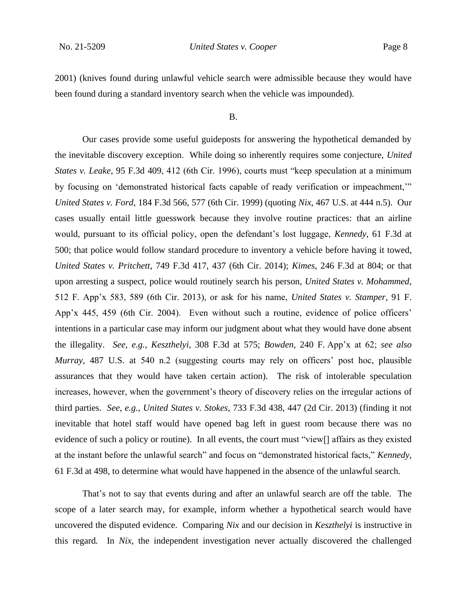2001) (knives found during unlawful vehicle search were admissible because they would have been found during a standard inventory search when the vehicle was impounded).

#### B.

Our cases provide some useful guideposts for answering the hypothetical demanded by the inevitable discovery exception. While doing so inherently requires some conjecture, *United States v. Leake*, 95 F.3d 409, 412 (6th Cir. 1996), courts must "keep speculation at a minimum by focusing on 'demonstrated historical facts capable of ready verification or impeachment,'" *United States v. Ford*, 184 F.3d 566, 577 (6th Cir. 1999) (quoting *Nix*, 467 U.S. at 444 n.5). Our cases usually entail little guesswork because they involve routine practices: that an airline would, pursuant to its official policy, open the defendant's lost luggage, *Kennedy*, 61 F.3d at 500; that police would follow standard procedure to inventory a vehicle before having it towed, *United States v. Pritchett*, 749 F.3d 417, 437 (6th Cir. 2014); *Kimes*, 246 F.3d at 804; or that upon arresting a suspect, police would routinely search his person, *United States v. Mohammed*, 512 F. App'x 583, 589 (6th Cir. 2013), or ask for his name, *United States v. Stamper*, 91 F. App'x 445, 459 (6th Cir. 2004). Even without such a routine, evidence of police officers' intentions in a particular case may inform our judgment about what they would have done absent the illegality. *See, e.g.*, *Keszthelyi*, 308 F.3d at 575; *Bowden*, 240 F. App'x at 62; *see also Murray*, 487 U.S. at 540 n.2 (suggesting courts may rely on officers' post hoc, plausible assurances that they would have taken certain action). The risk of intolerable speculation increases, however, when the government's theory of discovery relies on the irregular actions of third parties. *See, e.g.*, *United States v. Stokes*, 733 F.3d 438, 447 (2d Cir. 2013) (finding it not inevitable that hotel staff would have opened bag left in guest room because there was no evidence of such a policy or routine). In all events, the court must "view[] affairs as they existed at the instant before the unlawful search" and focus on "demonstrated historical facts," *Kennedy*, 61 F.3d at 498, to determine what would have happened in the absence of the unlawful search.

That's not to say that events during and after an unlawful search are off the table. The scope of a later search may, for example, inform whether a hypothetical search would have uncovered the disputed evidence. Comparing *Nix* and our decision in *Keszthelyi* is instructive in this regard*.* In *Nix*, the independent investigation never actually discovered the challenged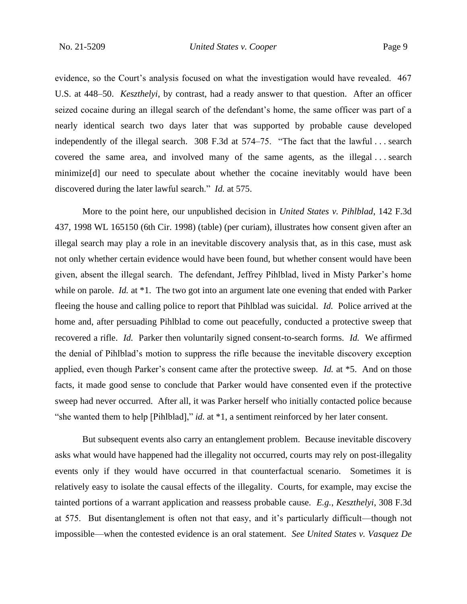evidence, so the Court's analysis focused on what the investigation would have revealed. 467 U.S. at 448–50. *Keszthelyi*, by contrast, had a ready answer to that question. After an officer seized cocaine during an illegal search of the defendant's home, the same officer was part of a nearly identical search two days later that was supported by probable cause developed independently of the illegal search. 308 F.3d at 574–75. "The fact that the lawful . . . search covered the same area, and involved many of the same agents, as the illegal . . . search minimize[d] our need to speculate about whether the cocaine inevitably would have been discovered during the later lawful search." *Id.* at 575.

More to the point here, our unpublished decision in *United States v. Pihlblad*, 142 F.3d 437, 1998 WL 165150 (6th Cir. 1998) (table) (per curiam), illustrates how consent given after an illegal search may play a role in an inevitable discovery analysis that, as in this case, must ask not only whether certain evidence would have been found, but whether consent would have been given, absent the illegal search. The defendant, Jeffrey Pihlblad, lived in Misty Parker's home while on parole. *Id.* at <sup>\*</sup>1. The two got into an argument late one evening that ended with Parker fleeing the house and calling police to report that Pihlblad was suicidal. *Id.* Police arrived at the home and, after persuading Pihlblad to come out peacefully, conducted a protective sweep that recovered a rifle. *Id.* Parker then voluntarily signed consent-to-search forms. *Id.* We affirmed the denial of Pihlblad's motion to suppress the rifle because the inevitable discovery exception applied, even though Parker's consent came after the protective sweep. *Id.* at \*5. And on those facts, it made good sense to conclude that Parker would have consented even if the protective sweep had never occurred. After all, it was Parker herself who initially contacted police because "she wanted them to help [Pihlblad]," *id.* at \*1, a sentiment reinforced by her later consent.

But subsequent events also carry an entanglement problem. Because inevitable discovery asks what would have happened had the illegality not occurred, courts may rely on post-illegality events only if they would have occurred in that counterfactual scenario. Sometimes it is relatively easy to isolate the causal effects of the illegality. Courts, for example, may excise the tainted portions of a warrant application and reassess probable cause. *E.g.*, *Keszthelyi*, 308 F.3d at 575. But disentanglement is often not that easy, and it's particularly difficult—though not impossible—when the contested evidence is an oral statement. *See United States v. Vasquez De*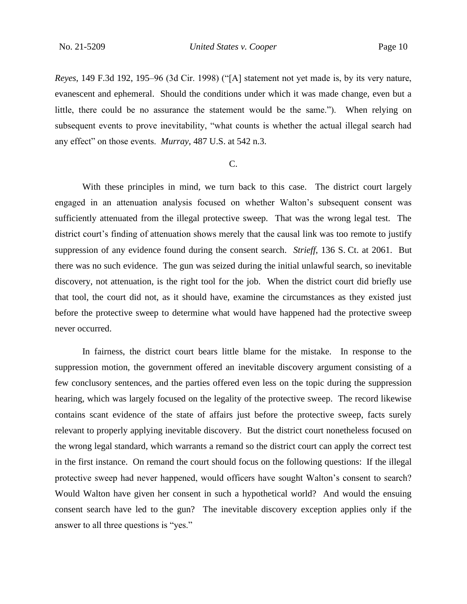*Reyes*, 149 F.3d 192, 195–96 (3d Cir. 1998) ("[A] statement not yet made is, by its very nature, evanescent and ephemeral. Should the conditions under which it was made change, even but a little, there could be no assurance the statement would be the same."). When relying on subsequent events to prove inevitability, "what counts is whether the actual illegal search had any effect" on those events. *Murray*, 487 U.S. at 542 n.3.

## C.

With these principles in mind, we turn back to this case. The district court largely engaged in an attenuation analysis focused on whether Walton's subsequent consent was sufficiently attenuated from the illegal protective sweep. That was the wrong legal test. The district court's finding of attenuation shows merely that the causal link was too remote to justify suppression of any evidence found during the consent search. *Strieff*, 136 S. Ct. at 2061. But there was no such evidence. The gun was seized during the initial unlawful search, so inevitable discovery, not attenuation, is the right tool for the job. When the district court did briefly use that tool, the court did not, as it should have, examine the circumstances as they existed just before the protective sweep to determine what would have happened had the protective sweep never occurred.

In fairness, the district court bears little blame for the mistake. In response to the suppression motion, the government offered an inevitable discovery argument consisting of a few conclusory sentences, and the parties offered even less on the topic during the suppression hearing, which was largely focused on the legality of the protective sweep. The record likewise contains scant evidence of the state of affairs just before the protective sweep, facts surely relevant to properly applying inevitable discovery. But the district court nonetheless focused on the wrong legal standard, which warrants a remand so the district court can apply the correct test in the first instance. On remand the court should focus on the following questions: If the illegal protective sweep had never happened, would officers have sought Walton's consent to search? Would Walton have given her consent in such a hypothetical world? And would the ensuing consent search have led to the gun? The inevitable discovery exception applies only if the answer to all three questions is "yes."